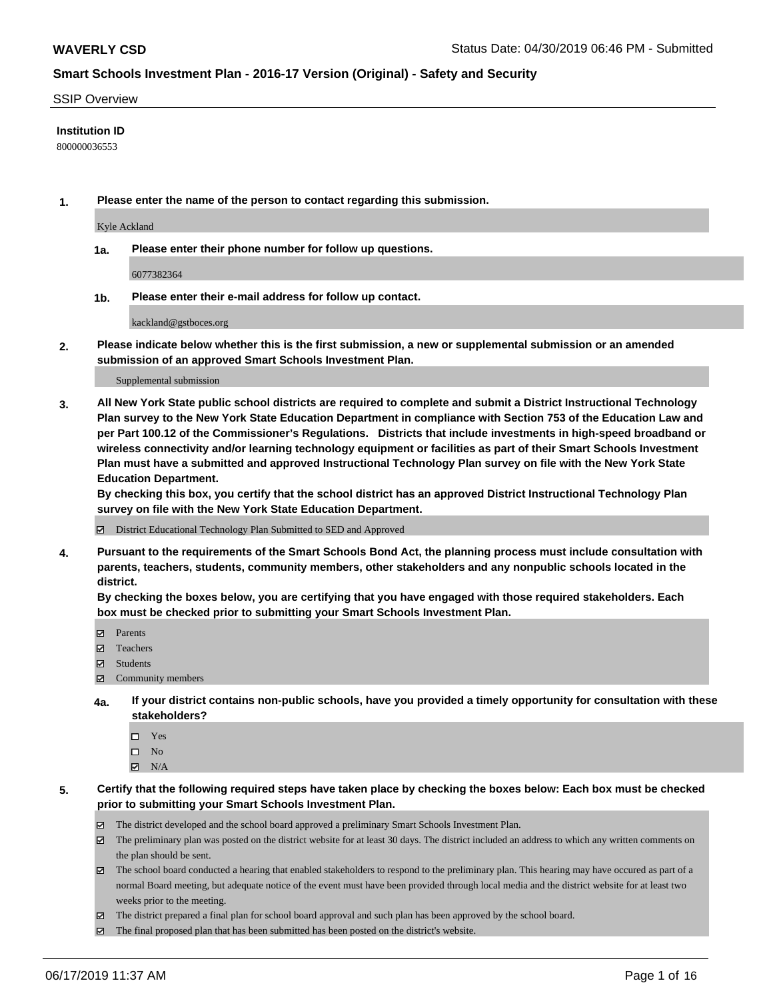#### SSIP Overview

#### **Institution ID**

800000036553

**1. Please enter the name of the person to contact regarding this submission.**

Kyle Ackland

**1a. Please enter their phone number for follow up questions.**

6077382364

**1b. Please enter their e-mail address for follow up contact.**

kackland@gstboces.org

**2. Please indicate below whether this is the first submission, a new or supplemental submission or an amended submission of an approved Smart Schools Investment Plan.**

#### Supplemental submission

**3. All New York State public school districts are required to complete and submit a District Instructional Technology Plan survey to the New York State Education Department in compliance with Section 753 of the Education Law and per Part 100.12 of the Commissioner's Regulations. Districts that include investments in high-speed broadband or wireless connectivity and/or learning technology equipment or facilities as part of their Smart Schools Investment Plan must have a submitted and approved Instructional Technology Plan survey on file with the New York State Education Department.** 

**By checking this box, you certify that the school district has an approved District Instructional Technology Plan survey on file with the New York State Education Department.**

District Educational Technology Plan Submitted to SED and Approved

**4. Pursuant to the requirements of the Smart Schools Bond Act, the planning process must include consultation with parents, teachers, students, community members, other stakeholders and any nonpublic schools located in the district.** 

**By checking the boxes below, you are certifying that you have engaged with those required stakeholders. Each box must be checked prior to submitting your Smart Schools Investment Plan.**

- Parents
- Teachers
- Students
- Community members
- **4a. If your district contains non-public schools, have you provided a timely opportunity for consultation with these stakeholders?**
	- □ Yes
	- $\square$  No
	- $N/A$
- **5. Certify that the following required steps have taken place by checking the boxes below: Each box must be checked prior to submitting your Smart Schools Investment Plan.**
	- The district developed and the school board approved a preliminary Smart Schools Investment Plan.
	- $\boxtimes$  The preliminary plan was posted on the district website for at least 30 days. The district included an address to which any written comments on the plan should be sent.
	- $\boxtimes$  The school board conducted a hearing that enabled stakeholders to respond to the preliminary plan. This hearing may have occured as part of a normal Board meeting, but adequate notice of the event must have been provided through local media and the district website for at least two weeks prior to the meeting.
	- The district prepared a final plan for school board approval and such plan has been approved by the school board.
	- $\boxtimes$  The final proposed plan that has been submitted has been posted on the district's website.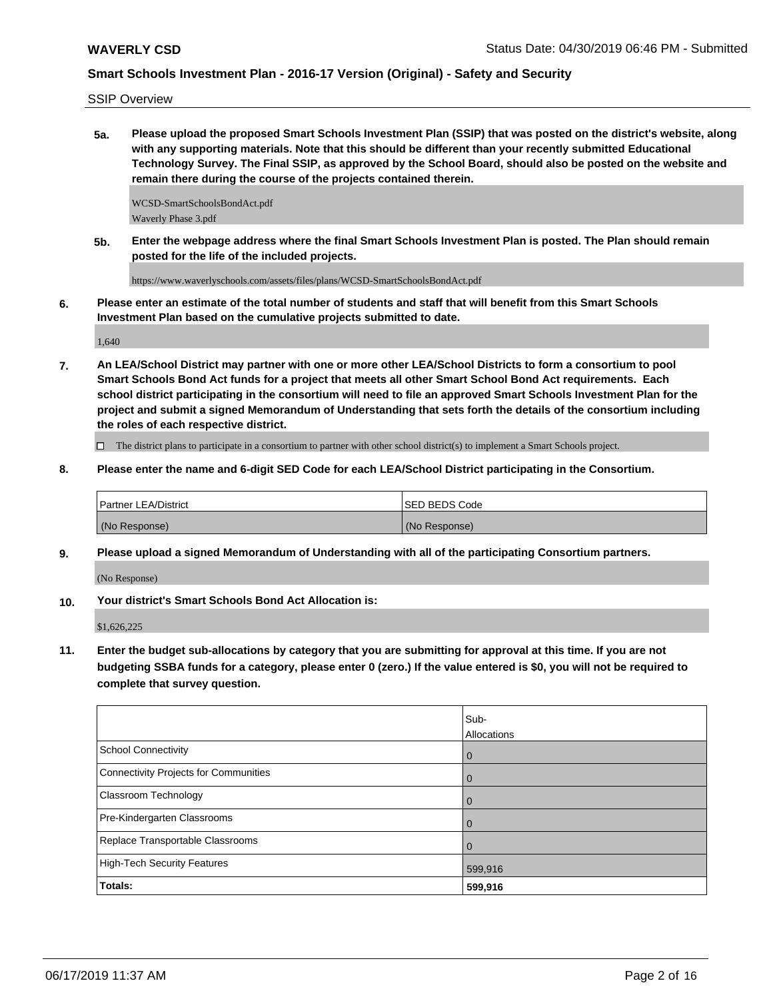SSIP Overview

**5a. Please upload the proposed Smart Schools Investment Plan (SSIP) that was posted on the district's website, along with any supporting materials. Note that this should be different than your recently submitted Educational Technology Survey. The Final SSIP, as approved by the School Board, should also be posted on the website and remain there during the course of the projects contained therein.**

WCSD-SmartSchoolsBondAct.pdf Waverly Phase 3.pdf

**5b. Enter the webpage address where the final Smart Schools Investment Plan is posted. The Plan should remain posted for the life of the included projects.**

https://www.waverlyschools.com/assets/files/plans/WCSD-SmartSchoolsBondAct.pdf

**6. Please enter an estimate of the total number of students and staff that will benefit from this Smart Schools Investment Plan based on the cumulative projects submitted to date.**

1,640

**7. An LEA/School District may partner with one or more other LEA/School Districts to form a consortium to pool Smart Schools Bond Act funds for a project that meets all other Smart School Bond Act requirements. Each school district participating in the consortium will need to file an approved Smart Schools Investment Plan for the project and submit a signed Memorandum of Understanding that sets forth the details of the consortium including the roles of each respective district.**

 $\Box$  The district plans to participate in a consortium to partner with other school district(s) to implement a Smart Schools project.

**8. Please enter the name and 6-digit SED Code for each LEA/School District participating in the Consortium.**

| <b>Partner LEA/District</b> | <b>ISED BEDS Code</b> |
|-----------------------------|-----------------------|
| (No Response)               | (No Response)         |

**9. Please upload a signed Memorandum of Understanding with all of the participating Consortium partners.**

(No Response)

**10. Your district's Smart Schools Bond Act Allocation is:**

\$1,626,225

**11. Enter the budget sub-allocations by category that you are submitting for approval at this time. If you are not budgeting SSBA funds for a category, please enter 0 (zero.) If the value entered is \$0, you will not be required to complete that survey question.**

|                                       | Sub-<br>Allocations |
|---------------------------------------|---------------------|
| School Connectivity                   | l 0                 |
| Connectivity Projects for Communities | $\overline{0}$      |
| <b>Classroom Technology</b>           | $\overline{0}$      |
| Pre-Kindergarten Classrooms           | $\overline{0}$      |
| Replace Transportable Classrooms      | $\overline{0}$      |
| High-Tech Security Features           | 599,916             |
| <b>Totals:</b>                        | 599,916             |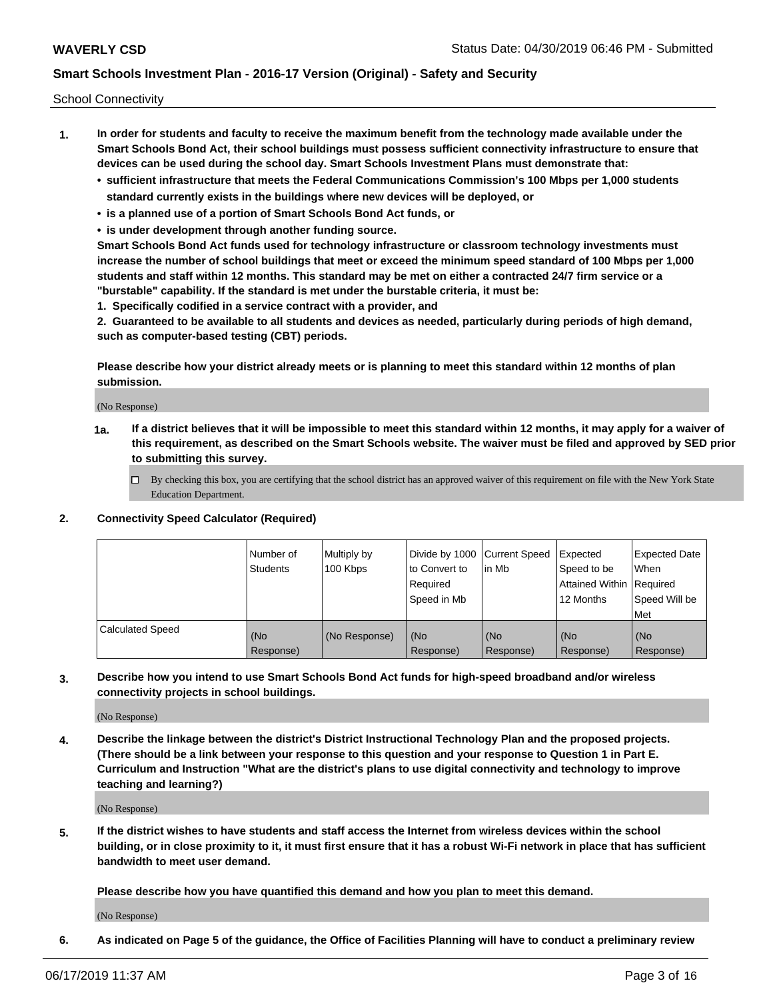School Connectivity

- **1. In order for students and faculty to receive the maximum benefit from the technology made available under the Smart Schools Bond Act, their school buildings must possess sufficient connectivity infrastructure to ensure that devices can be used during the school day. Smart Schools Investment Plans must demonstrate that:**
	- **• sufficient infrastructure that meets the Federal Communications Commission's 100 Mbps per 1,000 students standard currently exists in the buildings where new devices will be deployed, or**
	- **• is a planned use of a portion of Smart Schools Bond Act funds, or**
	- **• is under development through another funding source.**

**Smart Schools Bond Act funds used for technology infrastructure or classroom technology investments must increase the number of school buildings that meet or exceed the minimum speed standard of 100 Mbps per 1,000 students and staff within 12 months. This standard may be met on either a contracted 24/7 firm service or a "burstable" capability. If the standard is met under the burstable criteria, it must be:**

**1. Specifically codified in a service contract with a provider, and**

**2. Guaranteed to be available to all students and devices as needed, particularly during periods of high demand, such as computer-based testing (CBT) periods.**

**Please describe how your district already meets or is planning to meet this standard within 12 months of plan submission.**

(No Response)

**1a. If a district believes that it will be impossible to meet this standard within 12 months, it may apply for a waiver of this requirement, as described on the Smart Schools website. The waiver must be filed and approved by SED prior to submitting this survey.**

 $\Box$  By checking this box, you are certifying that the school district has an approved waiver of this requirement on file with the New York State Education Department.

#### **2. Connectivity Speed Calculator (Required)**

|                         | l Number of<br>Students | Multiply by<br>100 Kbps | Divide by 1000 Current Speed<br>to Convert to<br>Required<br>l Speed in Mb | lin Mb           | Expected<br>Speed to be<br>Attained Within   Required<br>12 Months | <b>Expected Date</b><br>When<br>Speed Will be<br>Met |
|-------------------------|-------------------------|-------------------------|----------------------------------------------------------------------------|------------------|--------------------------------------------------------------------|------------------------------------------------------|
| <b>Calculated Speed</b> | (No<br>Response)        | (No Response)           | (No<br>Response)                                                           | (No<br>Response) | (No<br>Response)                                                   | (No<br>Response)                                     |

**3. Describe how you intend to use Smart Schools Bond Act funds for high-speed broadband and/or wireless connectivity projects in school buildings.**

(No Response)

**4. Describe the linkage between the district's District Instructional Technology Plan and the proposed projects. (There should be a link between your response to this question and your response to Question 1 in Part E. Curriculum and Instruction "What are the district's plans to use digital connectivity and technology to improve teaching and learning?)**

(No Response)

**5. If the district wishes to have students and staff access the Internet from wireless devices within the school building, or in close proximity to it, it must first ensure that it has a robust Wi-Fi network in place that has sufficient bandwidth to meet user demand.**

**Please describe how you have quantified this demand and how you plan to meet this demand.**

(No Response)

**6. As indicated on Page 5 of the guidance, the Office of Facilities Planning will have to conduct a preliminary review**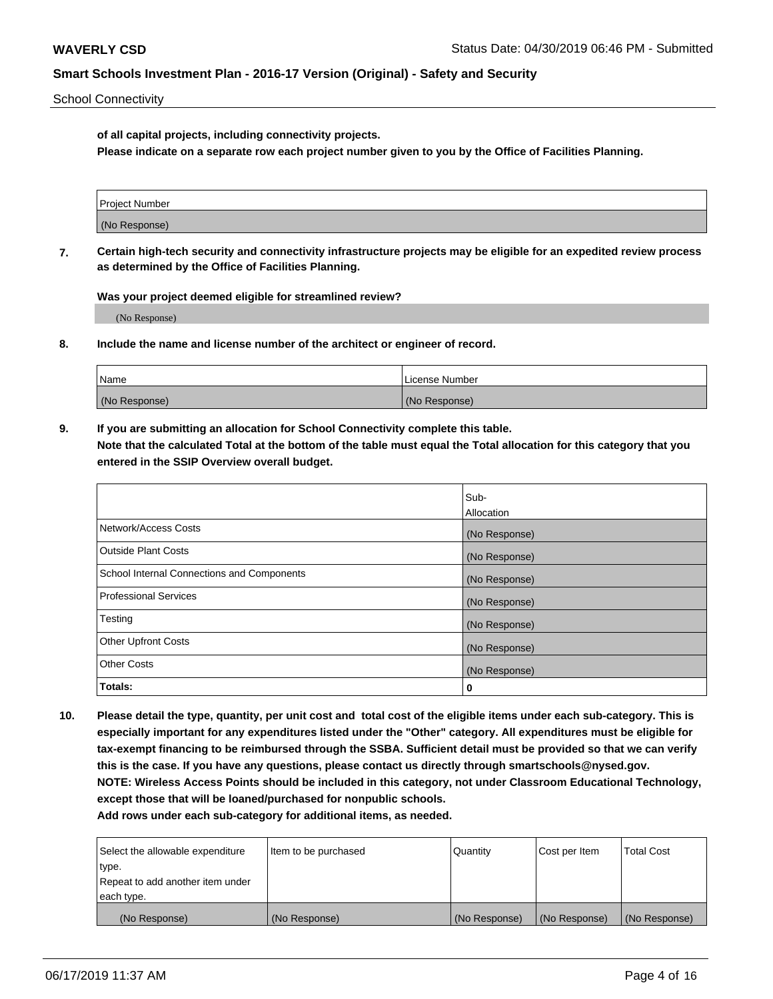School Connectivity

**of all capital projects, including connectivity projects.**

**Please indicate on a separate row each project number given to you by the Office of Facilities Planning.**

| Project Number |  |
|----------------|--|
|                |  |
|                |  |
| (No Response)  |  |
|                |  |

**7. Certain high-tech security and connectivity infrastructure projects may be eligible for an expedited review process as determined by the Office of Facilities Planning.**

**Was your project deemed eligible for streamlined review?**

(No Response)

**8. Include the name and license number of the architect or engineer of record.**

| Name          | License Number |
|---------------|----------------|
| (No Response) | (No Response)  |

**9. If you are submitting an allocation for School Connectivity complete this table. Note that the calculated Total at the bottom of the table must equal the Total allocation for this category that you entered in the SSIP Overview overall budget.** 

|                                            | Sub-          |
|--------------------------------------------|---------------|
|                                            | Allocation    |
| Network/Access Costs                       | (No Response) |
| Outside Plant Costs                        | (No Response) |
| School Internal Connections and Components | (No Response) |
| <b>Professional Services</b>               | (No Response) |
| Testing                                    | (No Response) |
| <b>Other Upfront Costs</b>                 | (No Response) |
| <b>Other Costs</b>                         | (No Response) |
| Totals:                                    | 0             |

**10. Please detail the type, quantity, per unit cost and total cost of the eligible items under each sub-category. This is especially important for any expenditures listed under the "Other" category. All expenditures must be eligible for tax-exempt financing to be reimbursed through the SSBA. Sufficient detail must be provided so that we can verify this is the case. If you have any questions, please contact us directly through smartschools@nysed.gov. NOTE: Wireless Access Points should be included in this category, not under Classroom Educational Technology, except those that will be loaned/purchased for nonpublic schools.**

| Select the allowable expenditure | Item to be purchased | Quantity      | Cost per Item | <b>Total Cost</b> |
|----------------------------------|----------------------|---------------|---------------|-------------------|
| type.                            |                      |               |               |                   |
| Repeat to add another item under |                      |               |               |                   |
| each type.                       |                      |               |               |                   |
| (No Response)                    | (No Response)        | (No Response) | (No Response) | (No Response)     |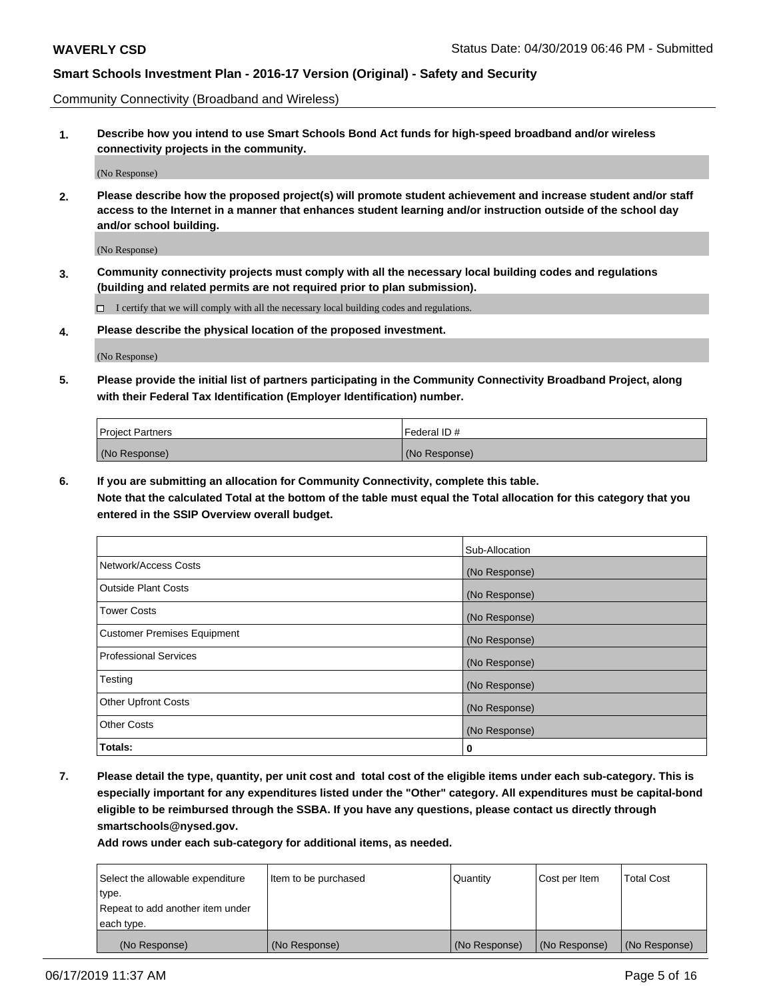Community Connectivity (Broadband and Wireless)

**1. Describe how you intend to use Smart Schools Bond Act funds for high-speed broadband and/or wireless connectivity projects in the community.**

(No Response)

**2. Please describe how the proposed project(s) will promote student achievement and increase student and/or staff access to the Internet in a manner that enhances student learning and/or instruction outside of the school day and/or school building.**

(No Response)

**3. Community connectivity projects must comply with all the necessary local building codes and regulations (building and related permits are not required prior to plan submission).**

 $\Box$  I certify that we will comply with all the necessary local building codes and regulations.

**4. Please describe the physical location of the proposed investment.**

(No Response)

**5. Please provide the initial list of partners participating in the Community Connectivity Broadband Project, along with their Federal Tax Identification (Employer Identification) number.**

| <b>Project Partners</b> | l Federal ID # |
|-------------------------|----------------|
| (No Response)           | (No Response)  |

**6. If you are submitting an allocation for Community Connectivity, complete this table.**

**Note that the calculated Total at the bottom of the table must equal the Total allocation for this category that you entered in the SSIP Overview overall budget.**

|                                    | Sub-Allocation |
|------------------------------------|----------------|
| Network/Access Costs               | (No Response)  |
| <b>Outside Plant Costs</b>         | (No Response)  |
| <b>Tower Costs</b>                 | (No Response)  |
| <b>Customer Premises Equipment</b> | (No Response)  |
| <b>Professional Services</b>       | (No Response)  |
| Testing                            | (No Response)  |
| <b>Other Upfront Costs</b>         | (No Response)  |
| <b>Other Costs</b>                 | (No Response)  |
| Totals:                            | 0              |

**7. Please detail the type, quantity, per unit cost and total cost of the eligible items under each sub-category. This is especially important for any expenditures listed under the "Other" category. All expenditures must be capital-bond eligible to be reimbursed through the SSBA. If you have any questions, please contact us directly through smartschools@nysed.gov.**

| Select the allowable expenditure | Item to be purchased | Quantity      | Cost per Item | <b>Total Cost</b> |
|----------------------------------|----------------------|---------------|---------------|-------------------|
| type.                            |                      |               |               |                   |
| Repeat to add another item under |                      |               |               |                   |
| each type.                       |                      |               |               |                   |
| (No Response)                    | (No Response)        | (No Response) | (No Response) | (No Response)     |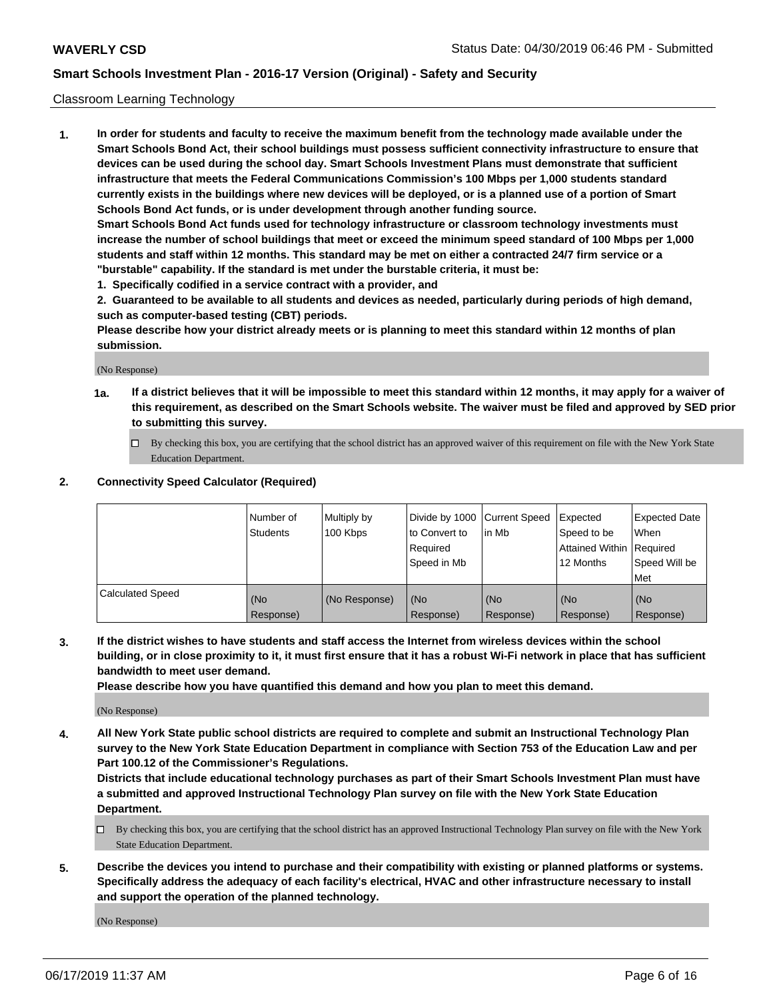#### Classroom Learning Technology

**1. In order for students and faculty to receive the maximum benefit from the technology made available under the Smart Schools Bond Act, their school buildings must possess sufficient connectivity infrastructure to ensure that devices can be used during the school day. Smart Schools Investment Plans must demonstrate that sufficient infrastructure that meets the Federal Communications Commission's 100 Mbps per 1,000 students standard currently exists in the buildings where new devices will be deployed, or is a planned use of a portion of Smart Schools Bond Act funds, or is under development through another funding source. Smart Schools Bond Act funds used for technology infrastructure or classroom technology investments must increase the number of school buildings that meet or exceed the minimum speed standard of 100 Mbps per 1,000 students and staff within 12 months. This standard may be met on either a contracted 24/7 firm service or a**

**"burstable" capability. If the standard is met under the burstable criteria, it must be:**

**1. Specifically codified in a service contract with a provider, and**

**2. Guaranteed to be available to all students and devices as needed, particularly during periods of high demand, such as computer-based testing (CBT) periods.**

**Please describe how your district already meets or is planning to meet this standard within 12 months of plan submission.**

(No Response)

- **1a. If a district believes that it will be impossible to meet this standard within 12 months, it may apply for a waiver of this requirement, as described on the Smart Schools website. The waiver must be filed and approved by SED prior to submitting this survey.**
	- By checking this box, you are certifying that the school district has an approved waiver of this requirement on file with the New York State Education Department.

#### **2. Connectivity Speed Calculator (Required)**

|                         | I Number of<br>Students | Multiply by<br>100 Kbps | to Convert to<br>Required<br>Speed in Mb | Divide by 1000 Current Speed Expected<br>lin Mb | Speed to be<br>Attained Within Required<br>12 Months | Expected Date<br>When<br>Speed Will be<br>Met |
|-------------------------|-------------------------|-------------------------|------------------------------------------|-------------------------------------------------|------------------------------------------------------|-----------------------------------------------|
| <b>Calculated Speed</b> | (No<br>Response)        | (No Response)           | (No<br>Response)                         | (No<br>Response)                                | (No<br>Response)                                     | (No<br>Response)                              |

**3. If the district wishes to have students and staff access the Internet from wireless devices within the school building, or in close proximity to it, it must first ensure that it has a robust Wi-Fi network in place that has sufficient bandwidth to meet user demand.**

**Please describe how you have quantified this demand and how you plan to meet this demand.**

(No Response)

**4. All New York State public school districts are required to complete and submit an Instructional Technology Plan survey to the New York State Education Department in compliance with Section 753 of the Education Law and per Part 100.12 of the Commissioner's Regulations.**

**Districts that include educational technology purchases as part of their Smart Schools Investment Plan must have a submitted and approved Instructional Technology Plan survey on file with the New York State Education Department.**

- $\Box$  By checking this box, you are certifying that the school district has an approved Instructional Technology Plan survey on file with the New York State Education Department.
- **5. Describe the devices you intend to purchase and their compatibility with existing or planned platforms or systems. Specifically address the adequacy of each facility's electrical, HVAC and other infrastructure necessary to install and support the operation of the planned technology.**

(No Response)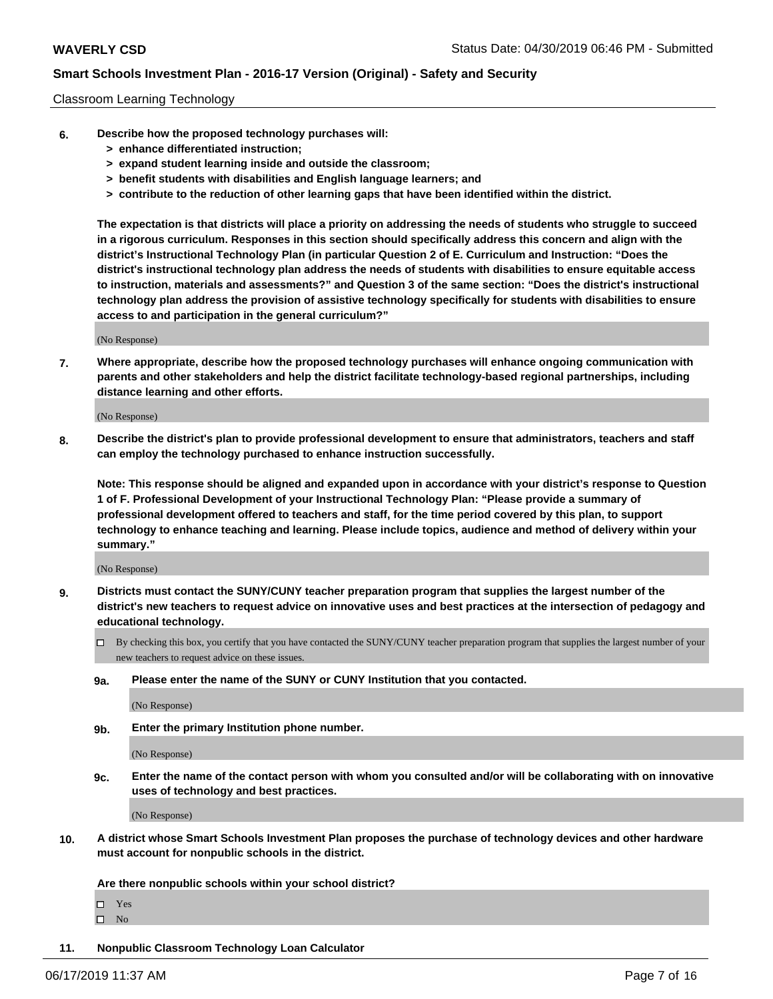#### Classroom Learning Technology

- **6. Describe how the proposed technology purchases will:**
	- **> enhance differentiated instruction;**
	- **> expand student learning inside and outside the classroom;**
	- **> benefit students with disabilities and English language learners; and**
	- **> contribute to the reduction of other learning gaps that have been identified within the district.**

**The expectation is that districts will place a priority on addressing the needs of students who struggle to succeed in a rigorous curriculum. Responses in this section should specifically address this concern and align with the district's Instructional Technology Plan (in particular Question 2 of E. Curriculum and Instruction: "Does the district's instructional technology plan address the needs of students with disabilities to ensure equitable access to instruction, materials and assessments?" and Question 3 of the same section: "Does the district's instructional technology plan address the provision of assistive technology specifically for students with disabilities to ensure access to and participation in the general curriculum?"**

(No Response)

**7. Where appropriate, describe how the proposed technology purchases will enhance ongoing communication with parents and other stakeholders and help the district facilitate technology-based regional partnerships, including distance learning and other efforts.**

(No Response)

**8. Describe the district's plan to provide professional development to ensure that administrators, teachers and staff can employ the technology purchased to enhance instruction successfully.**

**Note: This response should be aligned and expanded upon in accordance with your district's response to Question 1 of F. Professional Development of your Instructional Technology Plan: "Please provide a summary of professional development offered to teachers and staff, for the time period covered by this plan, to support technology to enhance teaching and learning. Please include topics, audience and method of delivery within your summary."**

(No Response)

- **9. Districts must contact the SUNY/CUNY teacher preparation program that supplies the largest number of the district's new teachers to request advice on innovative uses and best practices at the intersection of pedagogy and educational technology.**
	- By checking this box, you certify that you have contacted the SUNY/CUNY teacher preparation program that supplies the largest number of your new teachers to request advice on these issues.
	- **9a. Please enter the name of the SUNY or CUNY Institution that you contacted.**

(No Response)

**9b. Enter the primary Institution phone number.**

(No Response)

**9c. Enter the name of the contact person with whom you consulted and/or will be collaborating with on innovative uses of technology and best practices.**

(No Response)

**10. A district whose Smart Schools Investment Plan proposes the purchase of technology devices and other hardware must account for nonpublic schools in the district.**

**Are there nonpublic schools within your school district?**

Yes

 $\square$  No

**11. Nonpublic Classroom Technology Loan Calculator**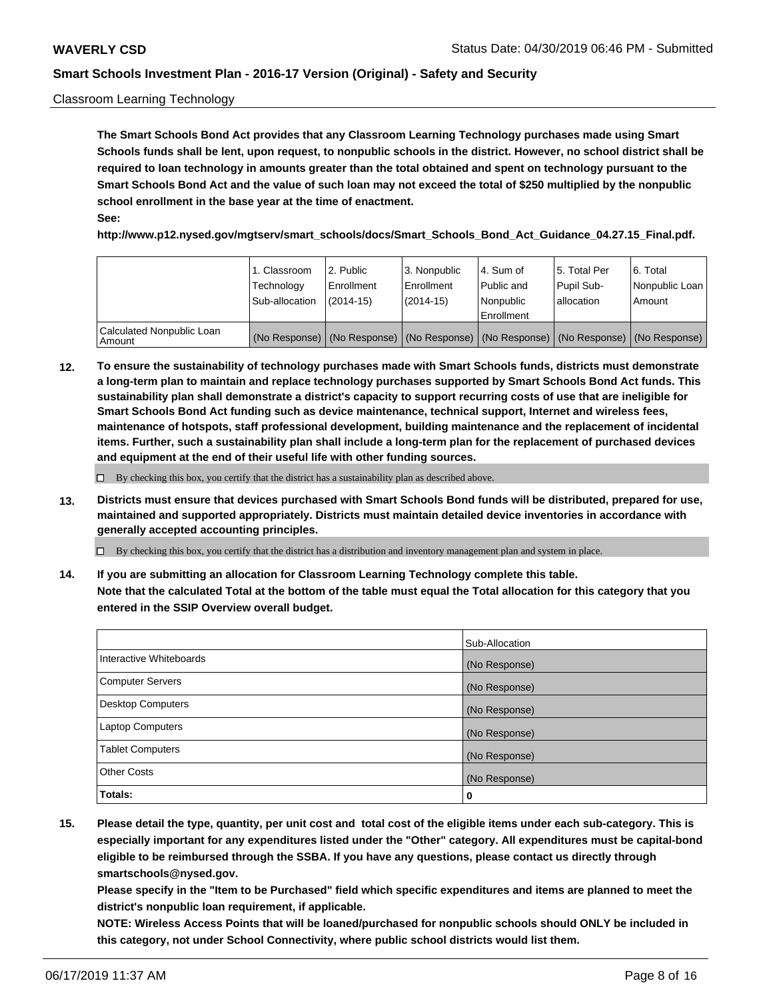#### Classroom Learning Technology

**The Smart Schools Bond Act provides that any Classroom Learning Technology purchases made using Smart Schools funds shall be lent, upon request, to nonpublic schools in the district. However, no school district shall be required to loan technology in amounts greater than the total obtained and spent on technology pursuant to the Smart Schools Bond Act and the value of such loan may not exceed the total of \$250 multiplied by the nonpublic school enrollment in the base year at the time of enactment. See:**

**http://www.p12.nysed.gov/mgtserv/smart\_schools/docs/Smart\_Schools\_Bond\_Act\_Guidance\_04.27.15\_Final.pdf.**

|                                       | 1. Classroom<br>Technology<br>Sub-allocation | 2. Public<br>l Enrollment<br>(2014-15) | l 3. Nonpublic<br>l Enrollment<br>$(2014 - 15)$ | l 4. Sum of<br>l Public and<br>l Nonpublic<br>Enrollment                                      | 15. Total Per<br>Pupil Sub-<br>l allocation | l 6. Total<br>Nonpublic Loan<br>Amount |
|---------------------------------------|----------------------------------------------|----------------------------------------|-------------------------------------------------|-----------------------------------------------------------------------------------------------|---------------------------------------------|----------------------------------------|
| Calculated Nonpublic Loan<br>l Amount |                                              |                                        |                                                 | (No Response)   (No Response)   (No Response)   (No Response)   (No Response)   (No Response) |                                             |                                        |

**12. To ensure the sustainability of technology purchases made with Smart Schools funds, districts must demonstrate a long-term plan to maintain and replace technology purchases supported by Smart Schools Bond Act funds. This sustainability plan shall demonstrate a district's capacity to support recurring costs of use that are ineligible for Smart Schools Bond Act funding such as device maintenance, technical support, Internet and wireless fees, maintenance of hotspots, staff professional development, building maintenance and the replacement of incidental items. Further, such a sustainability plan shall include a long-term plan for the replacement of purchased devices and equipment at the end of their useful life with other funding sources.**

 $\Box$  By checking this box, you certify that the district has a sustainability plan as described above.

**13. Districts must ensure that devices purchased with Smart Schools Bond funds will be distributed, prepared for use, maintained and supported appropriately. Districts must maintain detailed device inventories in accordance with generally accepted accounting principles.**

By checking this box, you certify that the district has a distribution and inventory management plan and system in place.

**14. If you are submitting an allocation for Classroom Learning Technology complete this table. Note that the calculated Total at the bottom of the table must equal the Total allocation for this category that you entered in the SSIP Overview overall budget.**

|                          | Sub-Allocation |
|--------------------------|----------------|
| Interactive Whiteboards  | (No Response)  |
| <b>Computer Servers</b>  | (No Response)  |
| <b>Desktop Computers</b> | (No Response)  |
| <b>Laptop Computers</b>  | (No Response)  |
| <b>Tablet Computers</b>  | (No Response)  |
| <b>Other Costs</b>       | (No Response)  |
| Totals:                  | 0              |

**15. Please detail the type, quantity, per unit cost and total cost of the eligible items under each sub-category. This is especially important for any expenditures listed under the "Other" category. All expenditures must be capital-bond eligible to be reimbursed through the SSBA. If you have any questions, please contact us directly through smartschools@nysed.gov.**

**Please specify in the "Item to be Purchased" field which specific expenditures and items are planned to meet the district's nonpublic loan requirement, if applicable.**

**NOTE: Wireless Access Points that will be loaned/purchased for nonpublic schools should ONLY be included in this category, not under School Connectivity, where public school districts would list them.**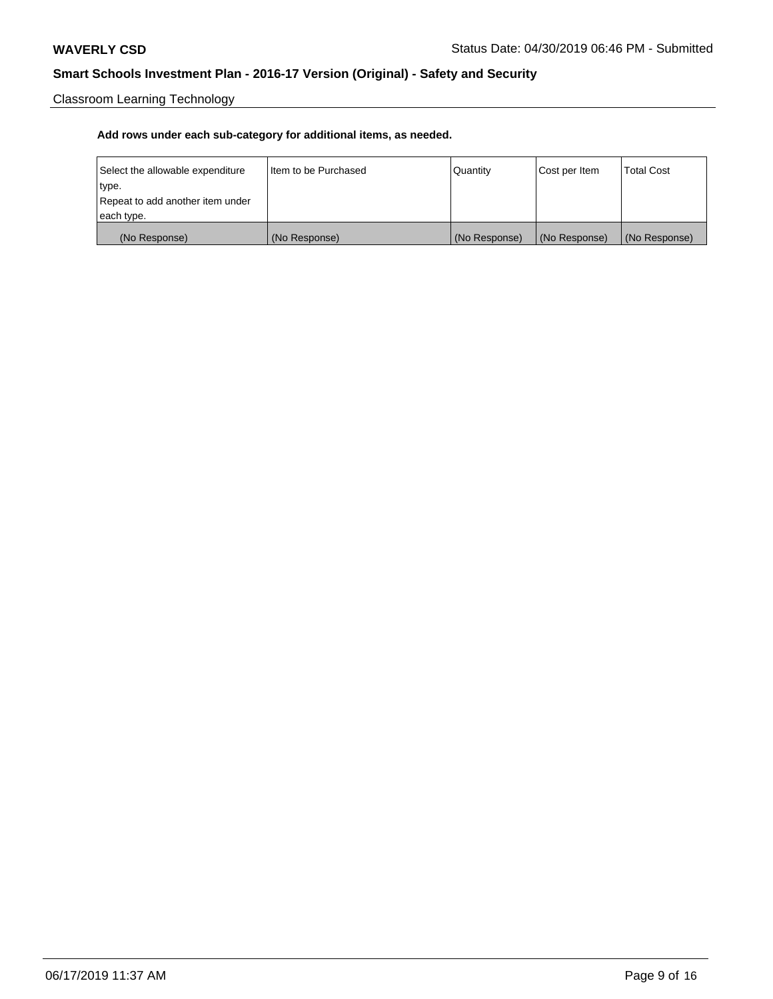Classroom Learning Technology

| Select the allowable expenditure | Iltem to be Purchased | Quantity      | Cost per Item | <b>Total Cost</b> |
|----------------------------------|-----------------------|---------------|---------------|-------------------|
| type.                            |                       |               |               |                   |
| Repeat to add another item under |                       |               |               |                   |
| each type.                       |                       |               |               |                   |
| (No Response)                    | (No Response)         | (No Response) | (No Response) | (No Response)     |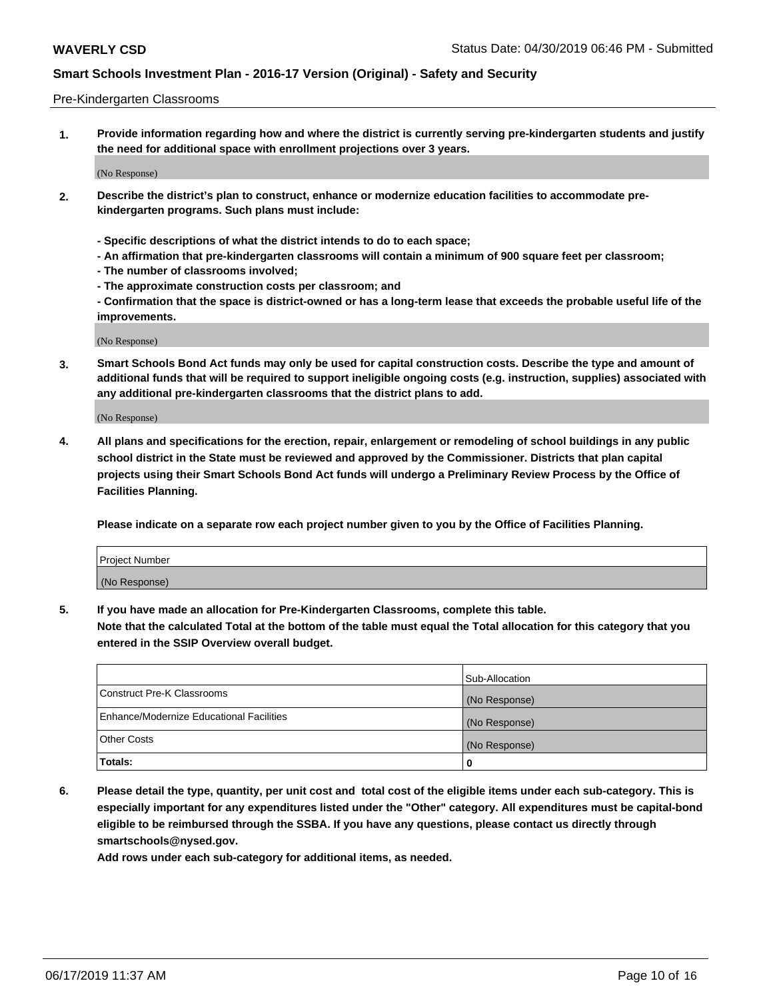#### Pre-Kindergarten Classrooms

**1. Provide information regarding how and where the district is currently serving pre-kindergarten students and justify the need for additional space with enrollment projections over 3 years.**

(No Response)

- **2. Describe the district's plan to construct, enhance or modernize education facilities to accommodate prekindergarten programs. Such plans must include:**
	- **Specific descriptions of what the district intends to do to each space;**
	- **An affirmation that pre-kindergarten classrooms will contain a minimum of 900 square feet per classroom;**
	- **The number of classrooms involved;**
	- **The approximate construction costs per classroom; and**
	- **Confirmation that the space is district-owned or has a long-term lease that exceeds the probable useful life of the improvements.**

(No Response)

**3. Smart Schools Bond Act funds may only be used for capital construction costs. Describe the type and amount of additional funds that will be required to support ineligible ongoing costs (e.g. instruction, supplies) associated with any additional pre-kindergarten classrooms that the district plans to add.**

(No Response)

**4. All plans and specifications for the erection, repair, enlargement or remodeling of school buildings in any public school district in the State must be reviewed and approved by the Commissioner. Districts that plan capital projects using their Smart Schools Bond Act funds will undergo a Preliminary Review Process by the Office of Facilities Planning.**

**Please indicate on a separate row each project number given to you by the Office of Facilities Planning.**

| Project Number |  |
|----------------|--|
| (No Response)  |  |
|                |  |

**5. If you have made an allocation for Pre-Kindergarten Classrooms, complete this table.**

**Note that the calculated Total at the bottom of the table must equal the Total allocation for this category that you entered in the SSIP Overview overall budget.**

|                                          | Sub-Allocation |
|------------------------------------------|----------------|
| Construct Pre-K Classrooms               | (No Response)  |
| Enhance/Modernize Educational Facilities | (No Response)  |
| <b>Other Costs</b>                       | (No Response)  |
| Totals:                                  | 0              |

**6. Please detail the type, quantity, per unit cost and total cost of the eligible items under each sub-category. This is especially important for any expenditures listed under the "Other" category. All expenditures must be capital-bond eligible to be reimbursed through the SSBA. If you have any questions, please contact us directly through smartschools@nysed.gov.**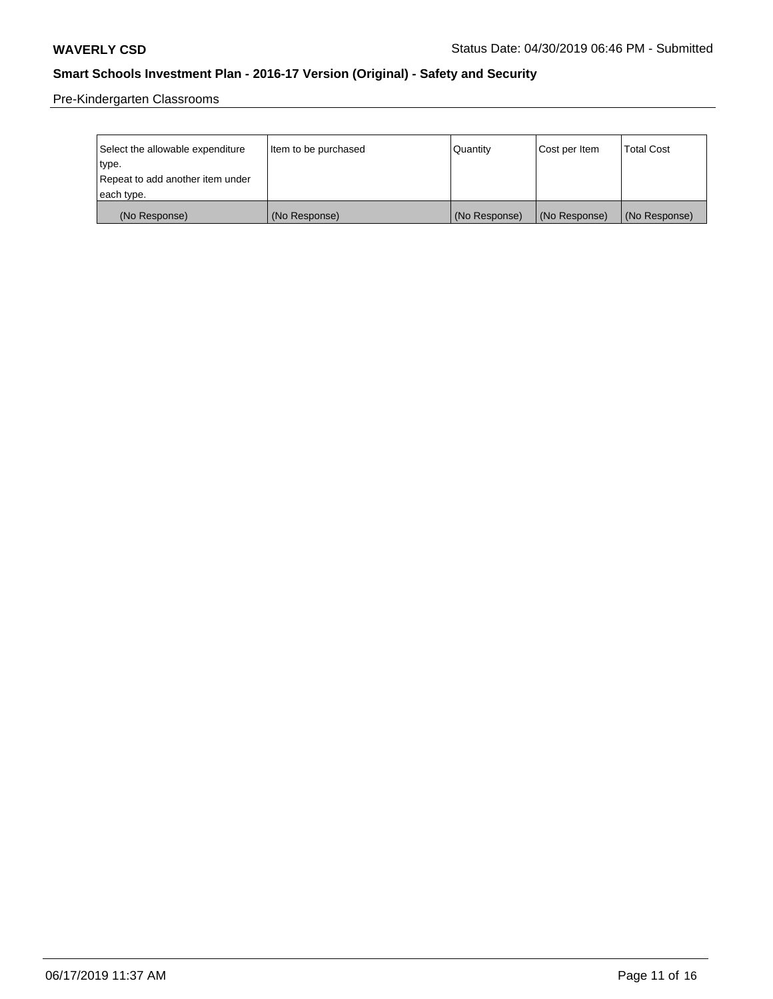Pre-Kindergarten Classrooms

| Select the allowable expenditure | Item to be purchased | Quantity      | Cost per Item | <b>Total Cost</b> |
|----------------------------------|----------------------|---------------|---------------|-------------------|
| type.                            |                      |               |               |                   |
| Repeat to add another item under |                      |               |               |                   |
| each type.                       |                      |               |               |                   |
| (No Response)                    | (No Response)        | (No Response) | (No Response) | (No Response)     |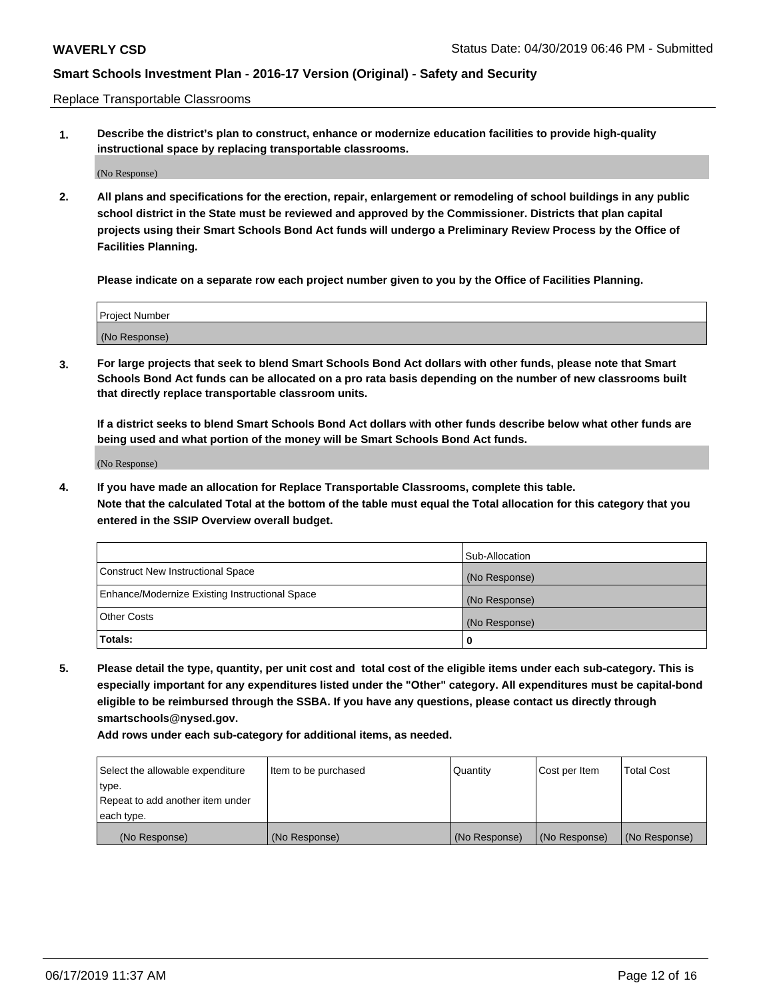Replace Transportable Classrooms

**1. Describe the district's plan to construct, enhance or modernize education facilities to provide high-quality instructional space by replacing transportable classrooms.**

(No Response)

**2. All plans and specifications for the erection, repair, enlargement or remodeling of school buildings in any public school district in the State must be reviewed and approved by the Commissioner. Districts that plan capital projects using their Smart Schools Bond Act funds will undergo a Preliminary Review Process by the Office of Facilities Planning.**

**Please indicate on a separate row each project number given to you by the Office of Facilities Planning.**

| Project Number |  |
|----------------|--|
|                |  |
| (No Response)  |  |

**3. For large projects that seek to blend Smart Schools Bond Act dollars with other funds, please note that Smart Schools Bond Act funds can be allocated on a pro rata basis depending on the number of new classrooms built that directly replace transportable classroom units.**

**If a district seeks to blend Smart Schools Bond Act dollars with other funds describe below what other funds are being used and what portion of the money will be Smart Schools Bond Act funds.**

(No Response)

**4. If you have made an allocation for Replace Transportable Classrooms, complete this table. Note that the calculated Total at the bottom of the table must equal the Total allocation for this category that you entered in the SSIP Overview overall budget.**

|                                                | Sub-Allocation |
|------------------------------------------------|----------------|
| Construct New Instructional Space              | (No Response)  |
| Enhance/Modernize Existing Instructional Space | (No Response)  |
| <b>Other Costs</b>                             | (No Response)  |
| Totals:                                        | 0              |

**5. Please detail the type, quantity, per unit cost and total cost of the eligible items under each sub-category. This is especially important for any expenditures listed under the "Other" category. All expenditures must be capital-bond eligible to be reimbursed through the SSBA. If you have any questions, please contact us directly through smartschools@nysed.gov.**

| Select the allowable expenditure | Item to be purchased | l Quantitv    | Cost per Item | <b>Total Cost</b> |
|----------------------------------|----------------------|---------------|---------------|-------------------|
| type.                            |                      |               |               |                   |
| Repeat to add another item under |                      |               |               |                   |
| each type.                       |                      |               |               |                   |
| (No Response)                    | (No Response)        | (No Response) | (No Response) | (No Response)     |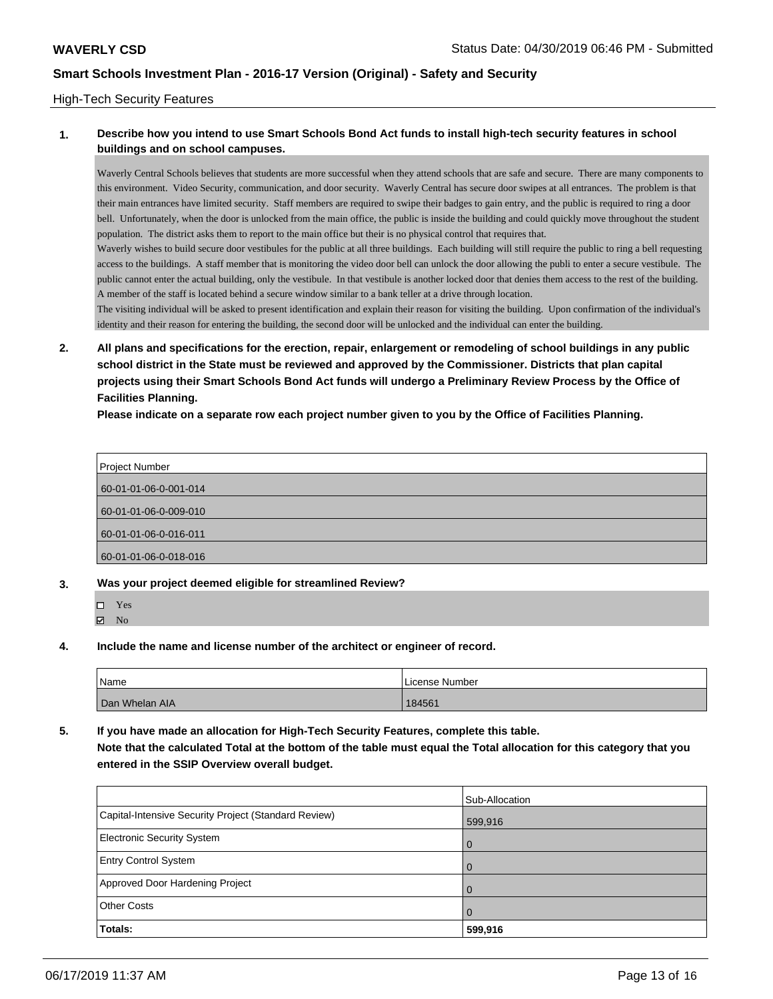#### High-Tech Security Features

### **1. Describe how you intend to use Smart Schools Bond Act funds to install high-tech security features in school buildings and on school campuses.**

Waverly Central Schools believes that students are more successful when they attend schools that are safe and secure. There are many components to this environment. Video Security, communication, and door security. Waverly Central has secure door swipes at all entrances. The problem is that their main entrances have limited security. Staff members are required to swipe their badges to gain entry, and the public is required to ring a door bell. Unfortunately, when the door is unlocked from the main office, the public is inside the building and could quickly move throughout the student population. The district asks them to report to the main office but their is no physical control that requires that.

Waverly wishes to build secure door vestibules for the public at all three buildings. Each building will still require the public to ring a bell requesting access to the buildings. A staff member that is monitoring the video door bell can unlock the door allowing the publi to enter a secure vestibule. The public cannot enter the actual building, only the vestibule. In that vestibule is another locked door that denies them access to the rest of the building. A member of the staff is located behind a secure window similar to a bank teller at a drive through location.

The visiting individual will be asked to present identification and explain their reason for visiting the building. Upon confirmation of the individual's identity and their reason for entering the building, the second door will be unlocked and the individual can enter the building.

**2. All plans and specifications for the erection, repair, enlargement or remodeling of school buildings in any public school district in the State must be reviewed and approved by the Commissioner. Districts that plan capital projects using their Smart Schools Bond Act funds will undergo a Preliminary Review Process by the Office of Facilities Planning.** 

**Please indicate on a separate row each project number given to you by the Office of Facilities Planning.**

| <b>Project Number</b> |  |
|-----------------------|--|
| 60-01-01-06-0-001-014 |  |
| 60-01-01-06-0-009-010 |  |
| 60-01-01-06-0-016-011 |  |
| 60-01-01-06-0-018-016 |  |

- **3. Was your project deemed eligible for streamlined Review?**
	- Yes

 $\blacksquare$  No

**4. Include the name and license number of the architect or engineer of record.**

| <b>Name</b>    | License Number |
|----------------|----------------|
| Dan Whelan AIA | 184561         |

**5. If you have made an allocation for High-Tech Security Features, complete this table.**

**Note that the calculated Total at the bottom of the table must equal the Total allocation for this category that you entered in the SSIP Overview overall budget.**

|                                                      | Sub-Allocation |
|------------------------------------------------------|----------------|
| Capital-Intensive Security Project (Standard Review) | 599,916        |
| <b>Electronic Security System</b>                    | $\overline{0}$ |
| <b>Entry Control System</b>                          | $\overline{0}$ |
| Approved Door Hardening Project                      | $\Omega$       |
| <b>Other Costs</b>                                   | $\Omega$       |
| Totals:                                              | 599,916        |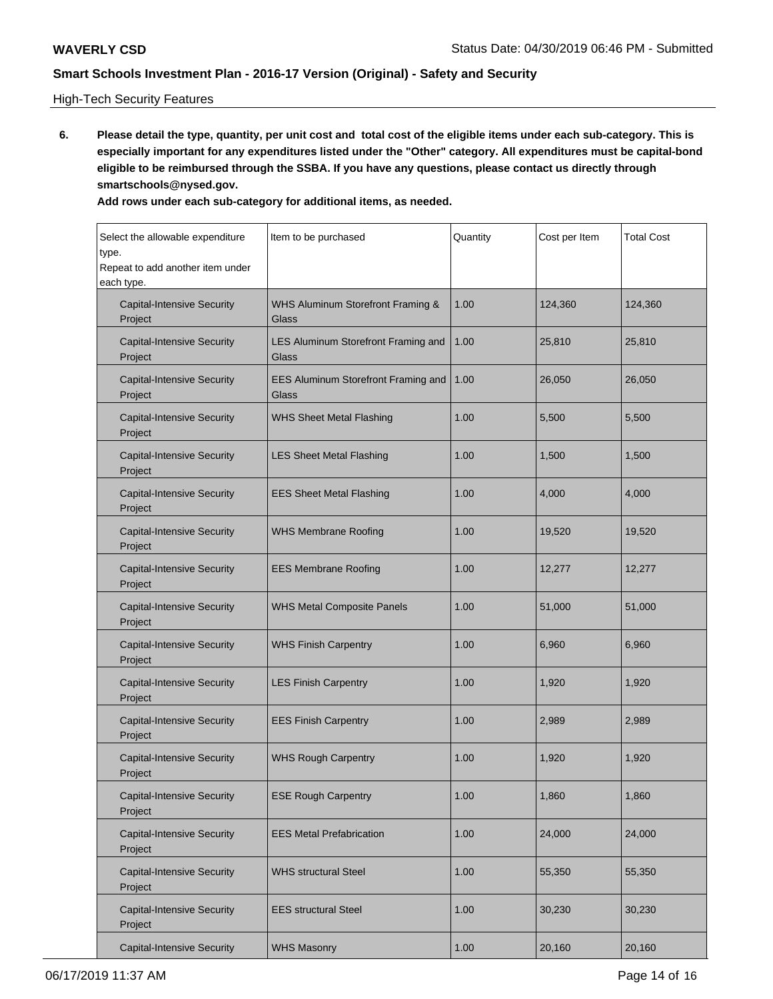### High-Tech Security Features

**6. Please detail the type, quantity, per unit cost and total cost of the eligible items under each sub-category. This is especially important for any expenditures listed under the "Other" category. All expenditures must be capital-bond eligible to be reimbursed through the SSBA. If you have any questions, please contact us directly through smartschools@nysed.gov.**

| Select the allowable expenditure<br>type.      | Item to be purchased                         | Quantity | Cost per Item | <b>Total Cost</b> |
|------------------------------------------------|----------------------------------------------|----------|---------------|-------------------|
| Repeat to add another item under<br>each type. |                                              |          |               |                   |
| <b>Capital-Intensive Security</b><br>Project   | WHS Aluminum Storefront Framing &<br>Glass   | 1.00     | 124,360       | 124,360           |
| <b>Capital-Intensive Security</b><br>Project   | LES Aluminum Storefront Framing and<br>Glass | 1.00     | 25,810        | 25,810            |
| <b>Capital-Intensive Security</b><br>Project   | EES Aluminum Storefront Framing and<br>Glass | 1.00     | 26,050        | 26,050            |
| <b>Capital-Intensive Security</b><br>Project   | <b>WHS Sheet Metal Flashing</b>              | 1.00     | 5,500         | 5,500             |
| <b>Capital-Intensive Security</b><br>Project   | <b>LES Sheet Metal Flashing</b>              | 1.00     | 1,500         | 1,500             |
| <b>Capital-Intensive Security</b><br>Project   | <b>EES Sheet Metal Flashing</b>              | 1.00     | 4,000         | 4,000             |
| <b>Capital-Intensive Security</b><br>Project   | <b>WHS Membrane Roofing</b>                  | 1.00     | 19,520        | 19,520            |
| <b>Capital-Intensive Security</b><br>Project   | <b>EES Membrane Roofing</b>                  | 1.00     | 12,277        | 12,277            |
| <b>Capital-Intensive Security</b><br>Project   | <b>WHS Metal Composite Panels</b>            | 1.00     | 51,000        | 51,000            |
| <b>Capital-Intensive Security</b><br>Project   | <b>WHS Finish Carpentry</b>                  | 1.00     | 6,960         | 6,960             |
| <b>Capital-Intensive Security</b><br>Project   | <b>LES Finish Carpentry</b>                  | 1.00     | 1,920         | 1,920             |
| <b>Capital-Intensive Security</b><br>Project   | <b>EES Finish Carpentry</b>                  | 1.00     | 2,989         | 2,989             |
| <b>Capital-Intensive Security</b><br>Project   | <b>WHS Rough Carpentry</b>                   | 1.00     | 1,920         | 1,920             |
| <b>Capital-Intensive Security</b><br>Project   | <b>ESE Rough Carpentry</b>                   | 1.00     | 1,860         | 1,860             |
| <b>Capital-Intensive Security</b><br>Project   | <b>EES Metal Prefabrication</b>              | 1.00     | 24,000        | 24,000            |
| <b>Capital-Intensive Security</b><br>Project   | <b>WHS structural Steel</b>                  | 1.00     | 55,350        | 55,350            |
| <b>Capital-Intensive Security</b><br>Project   | <b>EES structural Steel</b>                  | 1.00     | 30,230        | 30,230            |
| <b>Capital-Intensive Security</b>              | <b>WHS Masonry</b>                           | 1.00     | 20,160        | 20,160            |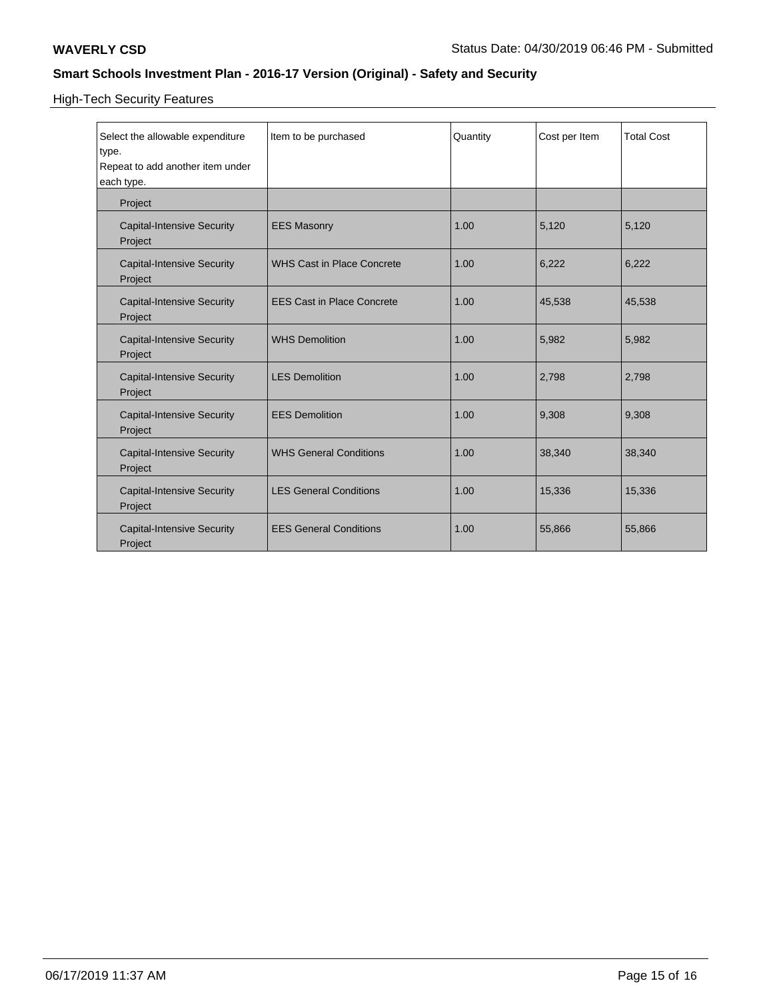High-Tech Security Features

| Select the allowable expenditure<br>type.<br>Repeat to add another item under<br>each type. | Item to be purchased              | Quantity | Cost per Item | <b>Total Cost</b> |
|---------------------------------------------------------------------------------------------|-----------------------------------|----------|---------------|-------------------|
| Project                                                                                     |                                   |          |               |                   |
| <b>Capital-Intensive Security</b><br>Project                                                | <b>EES Masonry</b>                | 1.00     | 5,120         | 5,120             |
| <b>Capital-Intensive Security</b><br>Project                                                | <b>WHS Cast in Place Concrete</b> | 1.00     | 6,222         | 6,222             |
| <b>Capital-Intensive Security</b><br>Project                                                | <b>EES Cast in Place Concrete</b> | 1.00     | 45,538        | 45,538            |
| <b>Capital-Intensive Security</b><br>Project                                                | <b>WHS Demolition</b>             | 1.00     | 5,982         | 5,982             |
| <b>Capital-Intensive Security</b><br>Project                                                | <b>LES Demolition</b>             | 1.00     | 2,798         | 2,798             |
| <b>Capital-Intensive Security</b><br>Project                                                | <b>EES Demolition</b>             | 1.00     | 9,308         | 9,308             |
| <b>Capital-Intensive Security</b><br>Project                                                | <b>WHS General Conditions</b>     | 1.00     | 38,340        | 38,340            |
| <b>Capital-Intensive Security</b><br>Project                                                | <b>LES General Conditions</b>     | 1.00     | 15,336        | 15,336            |
| <b>Capital-Intensive Security</b><br>Project                                                | <b>EES General Conditions</b>     | 1.00     | 55,866        | 55,866            |